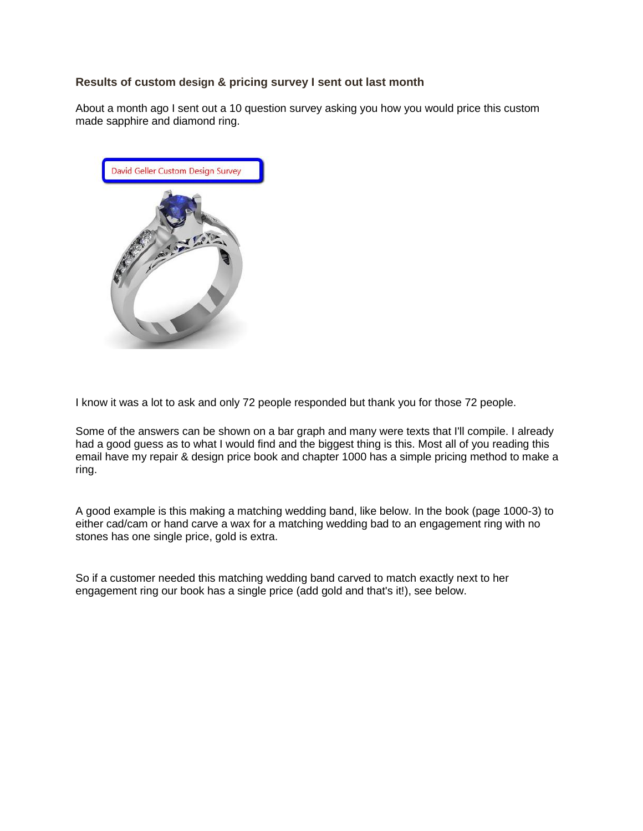# **Results of custom design & pricing survey I sent out last month**

About a month ago I sent out a 10 question survey asking you how you would price this custom made sapphire and diamond ring.



I know it was a lot to ask and only 72 people responded but thank you for those 72 people.

Some of the answers can be shown on a bar graph and many were texts that I'll compile. I already had a good guess as to what I would find and the biggest thing is this. Most all of you reading this email have my repair & design price book and chapter 1000 has a simple pricing method to make a ring.

A good example is this making a matching wedding band, like below. In the book (page 1000-3) to either cad/cam or hand carve a wax for a matching wedding bad to an engagement ring with no stones has one single price, gold is extra.

So if a customer needed this matching wedding band carved to match exactly next to her engagement ring our book has a single price (add gold and that's it!), see below.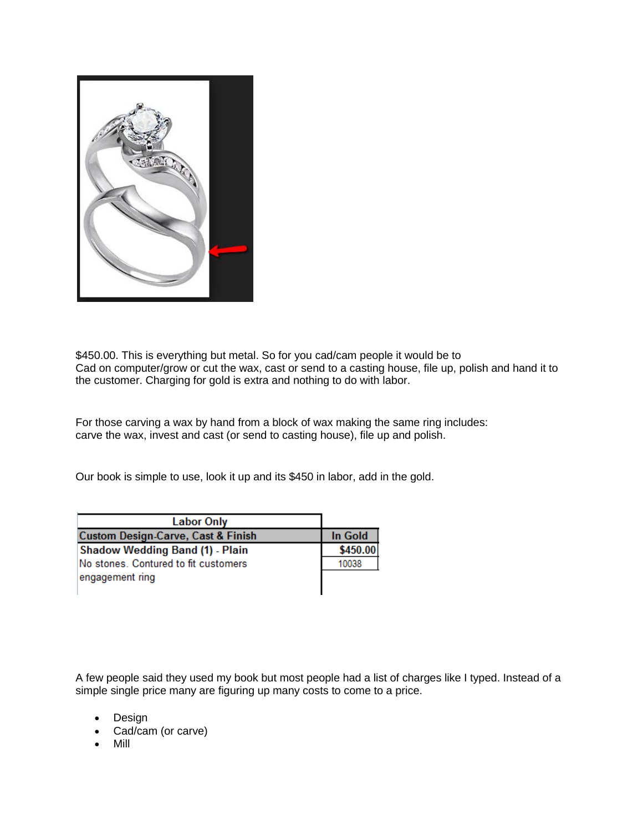

\$450.00. This is everything but metal. So for you cad/cam people it would be to Cad on computer/grow or cut the wax, cast or send to a casting house, file up, polish and hand it to the customer. Charging for gold is extra and nothing to do with labor.

For those carving a wax by hand from a block of wax making the same ring includes: carve the wax, invest and cast (or send to casting house), file up and polish.

Our book is simple to use, look it up and its \$450 in labor, add in the gold.

| <b>Labor Only</b>                             |          |
|-----------------------------------------------|----------|
| <b>Custom Design-Carve, Cast &amp; Finish</b> | In Gold  |
| Shadow Wedding Band (1) - Plain               | \$450.00 |
| No stones. Contured to fit customers          | 10038    |
| engagement ring                               |          |
|                                               |          |

A few people said they used my book but most people had a list of charges like I typed. Instead of a simple single price many are figuring up many costs to come to a price.

- Design
- Cad/cam (or carve)
- Mill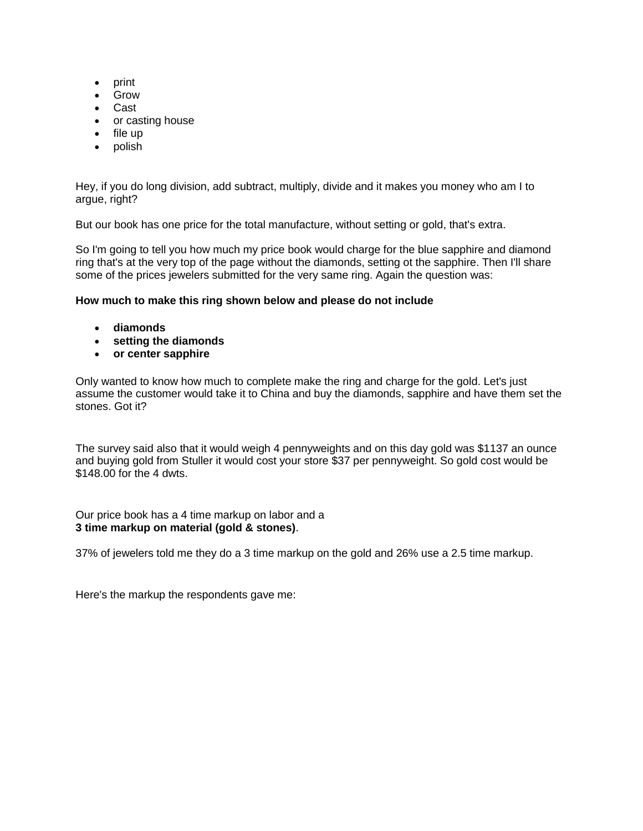- print
- Grow
- Cast
- or casting house
- $\bullet$  file up
- polish

Hey, if you do long division, add subtract, multiply, divide and it makes you money who am I to argue, right?

But our book has one price for the total manufacture, without setting or gold, that's extra.

So I'm going to tell you how much my price book would charge for the blue sapphire and diamond ring that's at the very top of the page without the diamonds, setting ot the sapphire. Then I'll share some of the prices jewelers submitted for the very same ring. Again the question was:

## **How much to make this ring shown below and please do not include**

- **diamonds**
- **setting the diamonds**
- **or center sapphire**

Only wanted to know how much to complete make the ring and charge for the gold. Let's just assume the customer would take it to China and buy the diamonds, sapphire and have them set the stones. Got it?

The survey said also that it would weigh 4 pennyweights and on this day gold was \$1137 an ounce and buying gold from Stuller it would cost your store \$37 per pennyweight. So gold cost would be \$148.00 for the 4 dwts.

Our price book has a 4 time markup on labor and a **3 time markup on material (gold & stones)**.

37% of jewelers told me they do a 3 time markup on the gold and 26% use a 2.5 time markup.

Here's the markup the respondents gave me: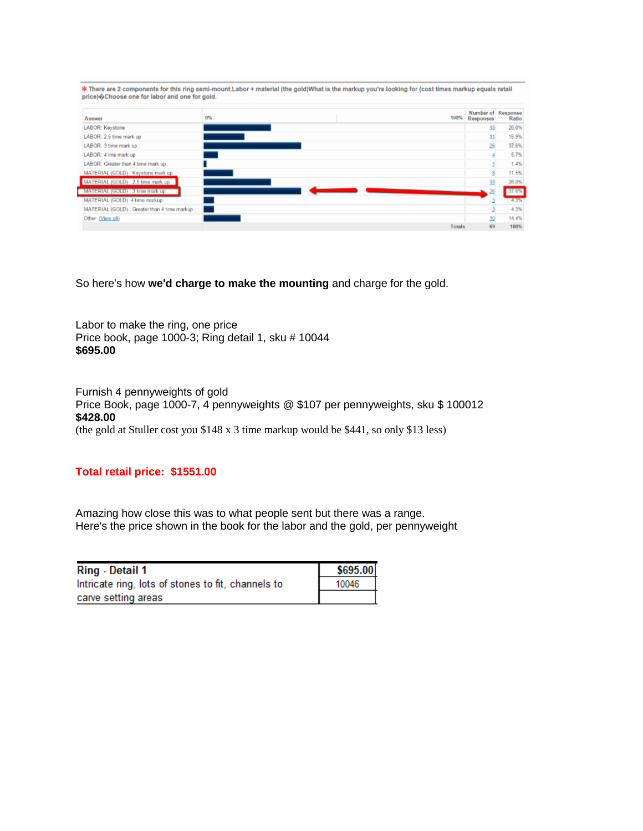| price) $\hat{\Theta}$ Choose one for labor and one for gold. |       | <b>*</b> There are 2 components for this ring semi-mount.Labor + material (the gold)What is the markup you're looking for (cost times markup equals retail |                                 |       |
|--------------------------------------------------------------|-------|------------------------------------------------------------------------------------------------------------------------------------------------------------|---------------------------------|-------|
| Answer                                                       | $0\%$ | 100%                                                                                                                                                       | Number of Response<br>Responses | Ratio |
| LABOR: Keystone                                              |       |                                                                                                                                                            | 18                              | 26.0% |
| LABOR: 2.5 time mark up                                      |       |                                                                                                                                                            | 11                              | 15.9% |
| LABOR: 3 time mark up                                        |       |                                                                                                                                                            | 26                              | 37.6% |
| LABOR: 4 ime mark up                                         |       |                                                                                                                                                            |                                 | 5.7%  |
| LABOR: Greater than 4 time mark up                           |       |                                                                                                                                                            |                                 | 1.4%  |
| MATERIAL (GOLD) : Keystone mark up                           |       |                                                                                                                                                            |                                 | 11.5% |
| MATERIAL (GOLD) : 2.5 time mark up                           |       |                                                                                                                                                            |                                 | 26.0% |
| MATERIAL (GOLD) : 3 time mark up                             |       |                                                                                                                                                            |                                 |       |
| MATERIAL (GOLD) : 4 time markup                              |       |                                                                                                                                                            |                                 | 4.3%  |
| MATERIAL (GOLD) : Greater than 4 time markup                 |       |                                                                                                                                                            |                                 | 4.3%  |
| Other (View all)                                             |       |                                                                                                                                                            |                                 | 14.4% |
|                                                              |       | <b>Totals</b>                                                                                                                                              | 69                              | 100%  |

So here's how **we'd charge to make the mounting** and charge for the gold.

Labor to make the ring, one price Price book, page 1000-3; Ring detail 1, sku # 10044 **\$695.00**

Furnish 4 pennyweights of gold Price Book, page 1000-7, 4 pennyweights @ \$107 per pennyweights, sku \$ 100012 **\$428.00** (the gold at Stuller cost you \$148 x 3 time markup would be \$441, so only \$13 less)

### **Total retail price: \$1551.00**

Amazing how close this was to what people sent but there was a range. Here's the price shown in the book for the labor and the gold, per pennyweight

| <b>Ring - Detail 1</b>                             | \$695.00 |
|----------------------------------------------------|----------|
| Intricate ring, lots of stones to fit, channels to | 10046    |
| carve setting areas                                |          |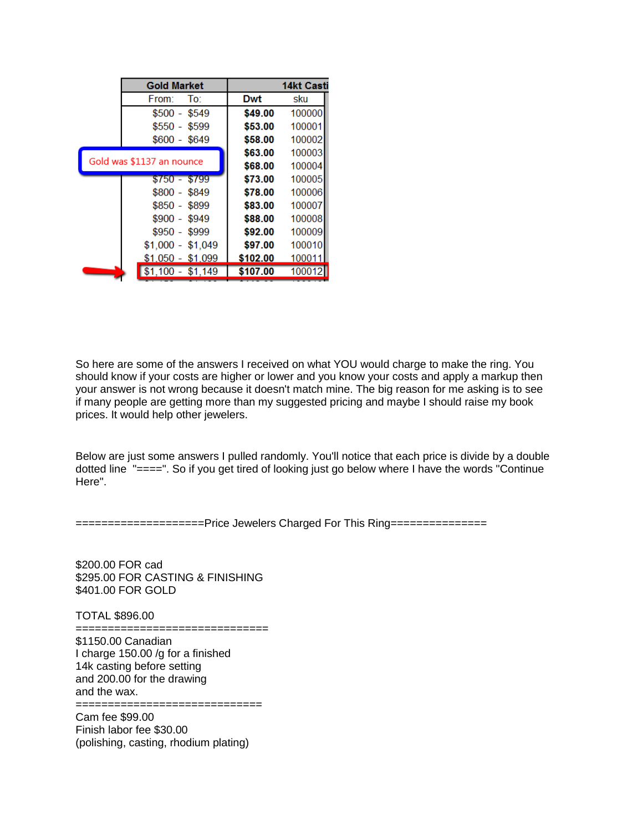| <b>Gold Market</b>        |          | 14kt Casti |
|---------------------------|----------|------------|
| To:<br>From:              | Dwt      | sku        |
| $$500 - $549$             | \$49.00  | 100000     |
| $$550 - $599$             | \$53.00  | 100001     |
| $$600 - $649$             | \$58.00  | 100002     |
|                           | \$63.00  | 100003     |
| Gold was \$1137 an nounce | \$68.00  | 100004     |
| $$750 - $799$             | \$73.00  | 100005     |
| $$800 - $849$             | \$78.00  | 100006     |
| $$850 - $899$             | \$83.00  | 100007     |
| $$900 - $949$             | \$88.00  | 100008     |
| $$950 - $999$             | \$92.00  | 100009     |
| $$1,000 - $1,049$         | \$97.00  | 100010     |
| $$1,050 - $1,099$         | \$102.00 | 100011     |
| $$1,100 - $1,149$         | \$107.00 | 100012     |

So here are some of the answers I received on what YOU would charge to make the ring. You should know if your costs are higher or lower and you know your costs and apply a markup then your answer is not wrong because it doesn't match mine. The big reason for me asking is to see if many people are getting more than my suggested pricing and maybe I should raise my book prices. It would help other jewelers.

Below are just some answers I pulled randomly. You'll notice that each price is divide by a double dotted line "====". So if you get tired of looking just go below where I have the words "Continue Here".

====================Price Jewelers Charged For This Ring===============

\$200.00 FOR cad \$295.00 FOR CASTING & FINISHING \$401.00 FOR GOLD

TOTAL \$896.00

====================================

\$1150.00 Canadian I charge 150.00 /g for a finished 14k casting before setting and 200.00 for the drawing and the wax. =============================

Cam fee \$99.00 Finish labor fee \$30.00 (polishing, casting, rhodium plating)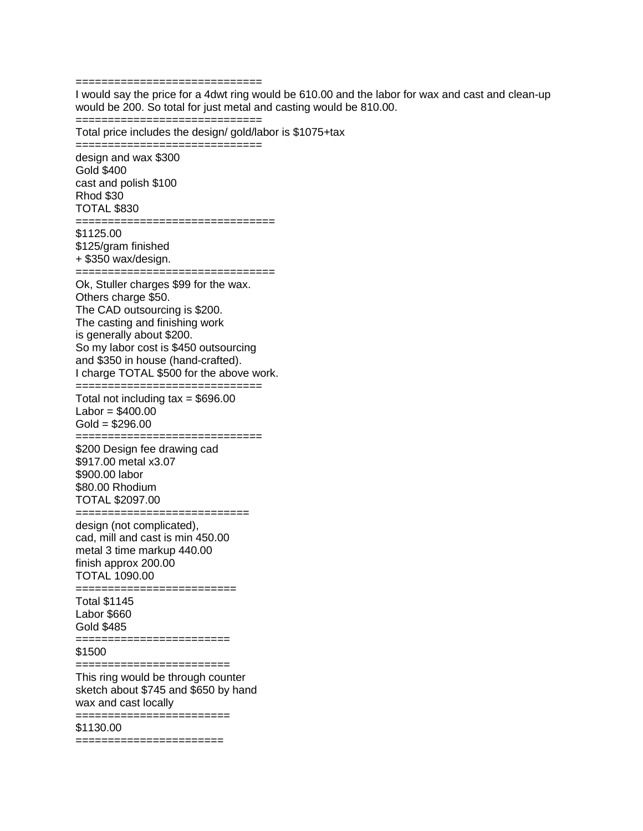=============================

=============================

=============================

I would say the price for a 4dwt ring would be 610.00 and the labor for wax and cast and clean-up would be 200. So total for just metal and casting would be 810.00.

Total price includes the design/ gold/labor is \$1075+tax

design and wax \$300 Gold \$400 cast and polish \$100 Rhod \$30 TOTAL \$830 =============================== \$1125.00 \$125/gram finished + \$350 wax/design. =============================== Ok, Stuller charges \$99 for the wax. Others charge \$50. The CAD outsourcing is \$200. The casting and finishing work is generally about \$200. So my labor cost is \$450 outsourcing and \$350 in house (hand-crafted). I charge TOTAL \$500 for the above work. ============================= Total not including  $tax = $696.00$  $Labor = $400.00$  $Gold = $296.00$ ============================= \$200 Design fee drawing cad \$917.00 metal x3.07 \$900.00 labor \$80.00 Rhodium TOTAL \$2097.00 =========================== design (not complicated), cad, mill and cast is min 450.00 metal 3 time markup 440.00 finish approx 200.00 TOTAL 1090.00 ========================== Total \$1145 Labor \$660 Gold \$485 ======================== \$1500 ======================== This ring would be through counter sketch about \$745 and \$650 by hand wax and cast locally ======================== \$1130.00 =======================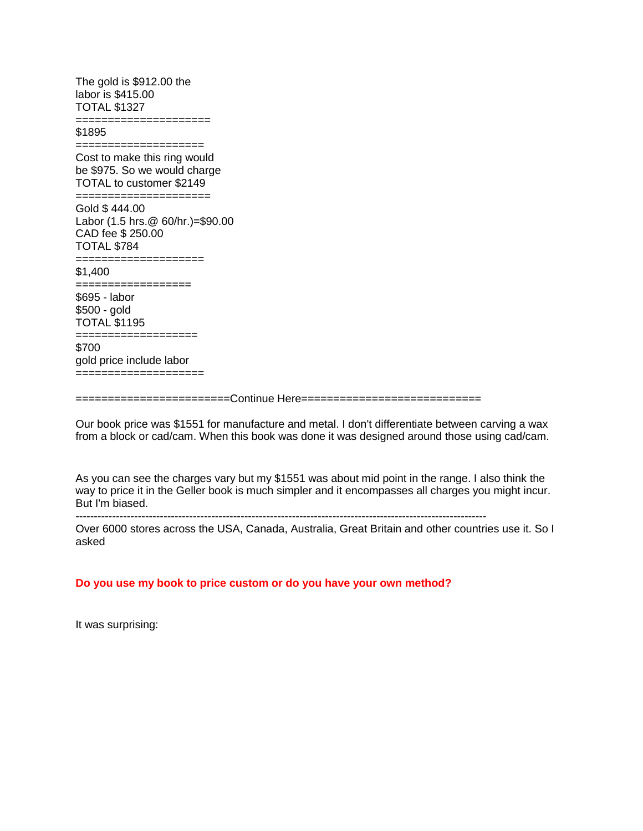The gold is \$912.00 the labor is \$415.00 TOTAL \$1327

=====================

\$1895

==================== Cost to make this ring would be \$975. So we would charge TOTAL to customer \$2149

===================== Gold \$ 444.00 Labor (1.5 hrs.@ 60/hr.)=\$90.00 CAD fee \$ 250.00

TOTAL \$784

==================== \$1,400

================== \$695 - labor \$500 - gold

TOTAL \$1195 ===================

\$700 gold price include labor ====================

========================Continue Here============================

Our book price was \$1551 for manufacture and metal. I don't differentiate between carving a wax from a block or cad/cam. When this book was done it was designed around those using cad/cam.

As you can see the charges vary but my \$1551 was about mid point in the range. I also think the way to price it in the Geller book is much simpler and it encompasses all charges you might incur. But I'm biased.

----------------------------------------------------------------------------------------------------------------

Over 6000 stores across the USA, Canada, Australia, Great Britain and other countries use it. So I asked

### **Do you use my book to price custom or do you have your own method?**

It was surprising: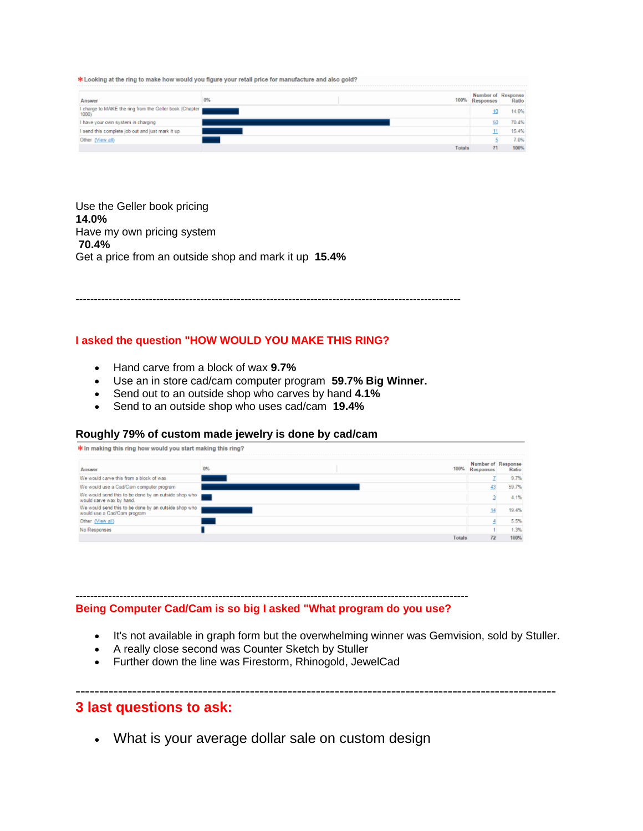\* Looking at the ring to make how would you figure your retail price for manufacture and also gold?

| Answer                                                           | 0% |        | Number of Response<br>100% Responses | Ratio |
|------------------------------------------------------------------|----|--------|--------------------------------------|-------|
| I charge to MAKE the ring from the Geller book (Chapter<br>1000) |    |        |                                      | 14.0% |
| I have your own system in charging                               |    |        |                                      | 70.4% |
| I send this complete job out and just mark it up                 |    |        |                                      | 15.4% |
| Other (View all)                                                 |    |        |                                      | 7.0%  |
|                                                                  |    | Totals |                                      | 100%  |

Use the Geller book pricing **14.0%** Have my own pricing system **70.4%** Get a price from an outside shop and mark it up **15.4%**

---------------------------------------------------------------------------------------------------------

### **I asked the question "HOW WOULD YOU MAKE THIS RING?**

- Hand carve from a block of wax **9.7%**
- Use an in store cad/cam computer program **59.7% Big Winner.**
- Send out to an outside shop who carves by hand **4.1%**
- Send to an outside shop who uses cad/cam **19.4%**

#### **Roughly 79% of custom made jewelry is done by cad/cam**

| * In making this ring how would you start making this ring?                         |    |        |                  |                             |
|-------------------------------------------------------------------------------------|----|--------|------------------|-----------------------------|
| Answer                                                                              | 0% | 100%   | <b>Responses</b> | Number of Response<br>Ratio |
| We would carve this from a block of wax                                             |    |        |                  | 9.7%                        |
| We would use a Cad/Cam computer program                                             |    |        |                  | 59.7%                       |
| We would send this to be done by an outside shop who<br>would carve wax by hand.    |    |        |                  | 4.1%                        |
| We would send this to be done by an outside shop who<br>would use a Cad/Cam program |    |        |                  | 19.4%                       |
| Other (View all)                                                                    |    |        |                  | 5.5%                        |
| No Responses                                                                        |    |        |                  | 1.3%                        |
|                                                                                     |    | Totals |                  | 100%                        |

-----------------------------------------------------------------------------------------------------------

**Being Computer Cad/Cam is so big I asked "What program do you use?**

It's not available in graph form but the overwhelming winner was Gemvision, sold by Stuller.

------------------------------------------------------------------------------------------------------

- A really close second was Counter Sketch by Stuller
- Further down the line was Firestorm, Rhinogold, JewelCad

## **3 last questions to ask:**

What is your average dollar sale on custom design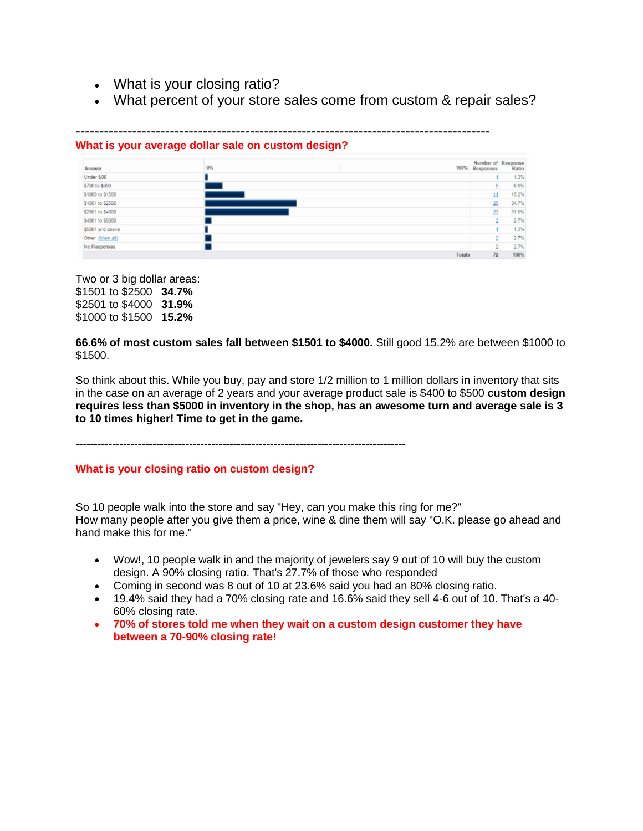- What is your closing ratio?
- What percent of your store sales come from custom & repair sales?

#### ---------------------------------------------------------------------------------------- **What is your average dollar sale on custom design?**

| Answer           | 0% | 100%<br>Responses | Number of Response<br>Ratio |
|------------------|----|-------------------|-----------------------------|
| Under 800        |    |                   | 1.3%                        |
| \$700 to \$999   |    |                   | 6.9%                        |
| \$1000 to \$1500 |    |                   | 15.2%                       |
| \$1501 to \$2500 |    |                   | 34.7%<br>25                 |
| \$2501 to \$4000 |    |                   | 77<br>31.9%                 |
| \$4001 to \$5000 |    |                   | 2.7%                        |
| \$5001 and above |    |                   | 1.3%                        |
| Other (View all) |    |                   | 2.7%                        |
| No Responses     |    |                   | 2.7%                        |
|                  |    | Totals            | 72<br>100%                  |

Two or 3 big dollar areas: \$1501 to \$2500 **34.7%** \$2501 to \$4000 **31.9%** \$1000 to \$1500 **15.2%**

**66.6% of most custom sales fall between \$1501 to \$4000.** Still good 15.2% are between \$1000 to \$1500.

So think about this. While you buy, pay and store 1/2 million to 1 million dollars in inventory that sits in the case on an average of 2 years and your average product sale is \$400 to \$500 **custom design requires less than \$5000 in inventory in the shop, has an awesome turn and average sale is 3 to 10 times higher! Time to get in the game.**

------------------------------------------------------------------------------------------

#### **What is your closing ratio on custom design?**

So 10 people walk into the store and say "Hey, can you make this ring for me?" How many people after you give them a price, wine & dine them will say "O.K. please go ahead and hand make this for me."

- Wow!, 10 people walk in and the majority of jewelers say 9 out of 10 will buy the custom design. A 90% closing ratio. That's 27.7% of those who responded
- Coming in second was 8 out of 10 at 23.6% said you had an 80% closing ratio.
- 19.4% said they had a 70% closing rate and 16.6% said they sell 4-6 out of 10. That's a 40- 60% closing rate.
- **70% of stores told me when they wait on a custom design customer they have between a 70-90% closing rate!**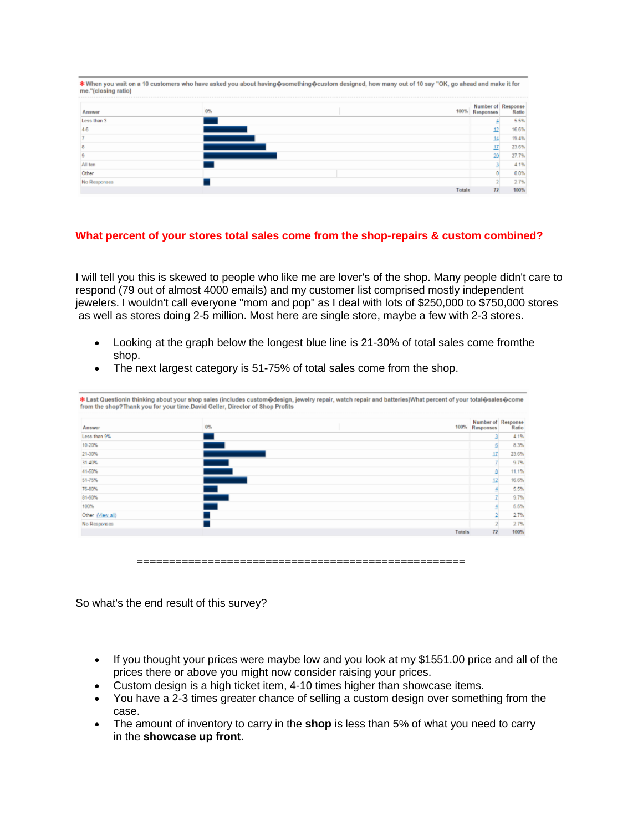| me."(closing ratio) |    | *When you wait on a 10 customers who have asked you about having�something�custom designed, how many out of 10 say "OK, go ahead and make it for |                             |
|---------------------|----|--------------------------------------------------------------------------------------------------------------------------------------------------|-----------------------------|
| Answer              | 0% | 100%<br><b>Responses</b>                                                                                                                         | Number of Response<br>Ratio |
| Less than 3         |    |                                                                                                                                                  | 5.5%                        |
|                     |    |                                                                                                                                                  | 16.6%                       |
|                     |    |                                                                                                                                                  | 19.4%                       |
|                     |    |                                                                                                                                                  | 23.6%                       |
|                     |    |                                                                                                                                                  | 27.7%                       |
| All ten             |    |                                                                                                                                                  | 4.1%                        |
| Other               |    |                                                                                                                                                  | 0.0%                        |
| No Responses        |    |                                                                                                                                                  | 2.7%                        |
|                     |    | 72<br><b>Totals</b>                                                                                                                              | 100%                        |

### **What percent of your stores total sales come from the shop-repairs & custom combined?**

I will tell you this is skewed to people who like me are lover's of the shop. Many people didn't care to respond (79 out of almost 4000 emails) and my customer list comprised mostly independent jewelers. I wouldn't call everyone "mom and pop" as I deal with lots of \$250,000 to \$750,000 stores as well as stores doing 2-5 million. Most here are single store, maybe a few with 2-3 stores.

- Looking at the graph below the longest blue line is 21-30% of total sales come fromthe shop.
- The next largest category is 51-75% of total sales come from the shop.

| Answer           | 0% | Number of Response<br>100% Responses |                | Ratio |
|------------------|----|--------------------------------------|----------------|-------|
| Less than 9%     |    |                                      |                | 4.1%  |
| 10-20%           |    |                                      | Б              | 8.3%  |
| 21-30%           |    |                                      | 17             | 23.6% |
| 31-40%           |    |                                      |                | 9.7%  |
| 41-50%           |    |                                      | ø              | 11.1% |
| 51-75%           |    |                                      | 12             | 16.6% |
| 76-80%           |    |                                      |                | 5.5%  |
| 81-90%           |    |                                      |                | 9.7%  |
| 100%             |    |                                      |                | 5.5%  |
| Other (View all) |    |                                      | 2              | 2.7%  |
| No Responses     |    |                                      | $\overline{2}$ | 2.7%  |
|                  |    | Totals                               | 72             | 100%  |

So what's the end result of this survey?

- If you thought your prices were maybe low and you look at my \$1551.00 price and all of the prices there or above you might now consider raising your prices.
- Custom design is a high ticket item, 4-10 times higher than showcase items.
- You have a 2-3 times greater chance of selling a custom design over something from the case.
- The amount of inventory to carry in the **shop** is less than 5% of what you need to carry in the **showcase up front**.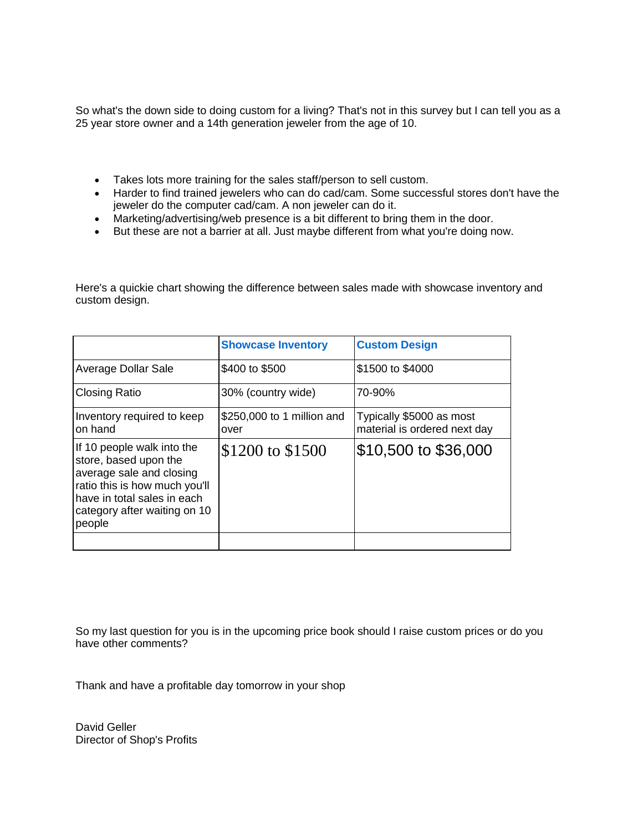So what's the down side to doing custom for a living? That's not in this survey but I can tell you as a 25 year store owner and a 14th generation jeweler from the age of 10.

- Takes lots more training for the sales staff/person to sell custom.
- Harder to find trained jewelers who can do cad/cam. Some successful stores don't have the jeweler do the computer cad/cam. A non jeweler can do it.
- Marketing/advertising/web presence is a bit different to bring them in the door.
- But these are not a barrier at all. Just maybe different from what you're doing now.

Here's a quickie chart showing the difference between sales made with showcase inventory and custom design.

|                                                                                                                                                                                           | <b>Showcase Inventory</b>          | <b>Custom Design</b>                                     |
|-------------------------------------------------------------------------------------------------------------------------------------------------------------------------------------------|------------------------------------|----------------------------------------------------------|
| Average Dollar Sale                                                                                                                                                                       | \$400 to \$500                     | \$1500 to \$4000                                         |
| <b>Closing Ratio</b>                                                                                                                                                                      | 30% (country wide)                 | 70-90%                                                   |
| Inventory required to keep<br>on hand                                                                                                                                                     | \$250,000 to 1 million and<br>over | Typically \$5000 as most<br>material is ordered next day |
| If 10 people walk into the<br>store, based upon the<br>average sale and closing<br>ratio this is how much you'll<br>have in total sales in each<br>category after waiting on 10<br>people | \$1200 to \$1500                   | \$10,500 to \$36,000                                     |

So my last question for you is in the upcoming price book should I raise custom prices or do you have other comments?

Thank and have a profitable day tomorrow in your shop

David Geller Director of Shop's Profits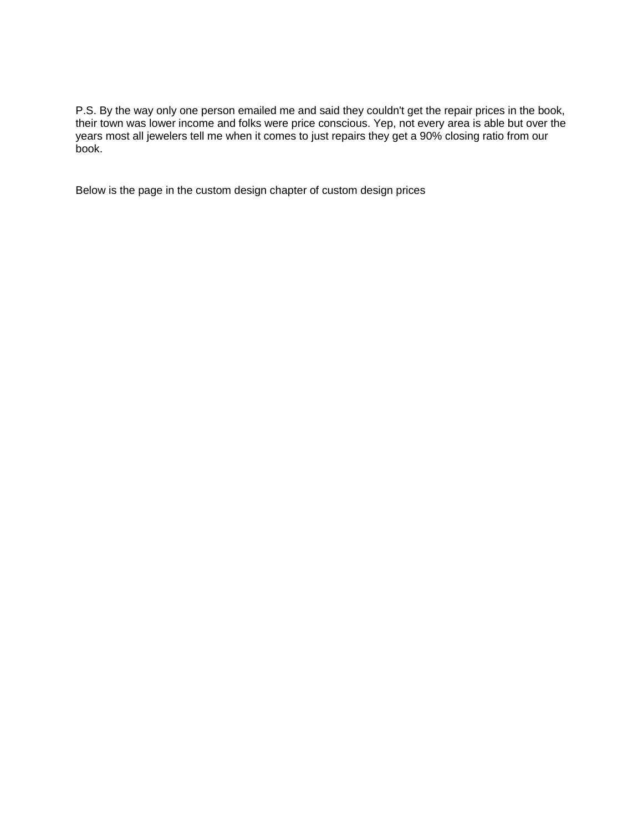P.S. By the way only one person emailed me and said they couldn't get the repair prices in the book, their town was lower income and folks were price conscious. Yep, not every area is able but over the years most all jewelers tell me when it comes to just repairs they get a 90% closing ratio from our book.

Below is the page in the custom design chapter of custom design prices